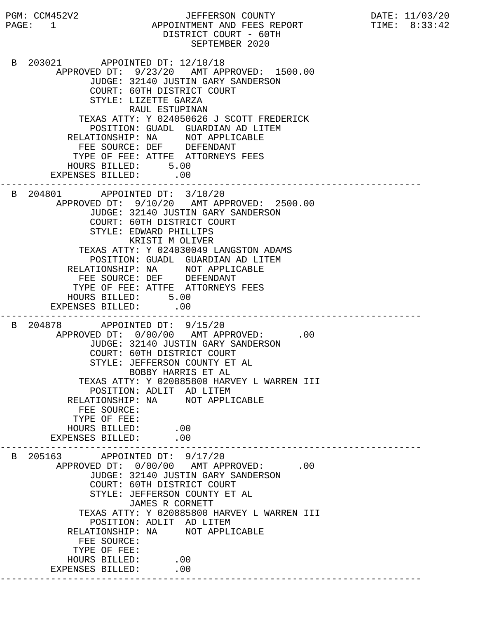PGM: CCM452V2 JEFFERSON COUNTY DATE: 11/03/20 PAGE: 1 APPOINTMENT AND FEES REPORT DISTRICT COURT - 60TH SEPTEMBER 2020 B 203021 APPOINTED DT: 12/10/18 APPROVED DT: 9/23/20 AMT APPROVED: 1500.00 JUDGE: 32140 JUSTIN GARY SANDERSON COURT: 60TH DISTRICT COURT STYLE: LIZETTE GARZA RAUL ESTUPINAN TEXAS ATTY: Y 024050626 J SCOTT FREDERICK POSITION: GUADL GUARDIAN AD LITEM RELATIONSHIP: NA NOT APPLICABLE FEE SOURCE: DEF DEFENDANT TYPE OF FEE: ATTFE ATTORNEYS FEES HOURS BILLED: 5.00 EXPENSES BILLED: .00 --------------------------------------------------------------------------- B 204801 APPOINTED DT: 3/10/20 APPROVED DT: 9/10/20 AMT APPROVED: 2500.00 JUDGE: 32140 JUSTIN GARY SANDERSON COURT: 60TH DISTRICT COURT STYLE: EDWARD PHILLIPS KRISTI M OLIVER TEXAS ATTY: Y 024030049 LANGSTON ADAMS POSITION: GUADL GUARDIAN AD LITEM RELATIONSHIP: NA NOT APPLICABLE FEE SOURCE: DEF DEFENDANT TYPE OF FEE: ATTFE ATTORNEYS FEES HOURS BILLED: 5.00 EXPENSES BILLED: .00 --------------------------------------------------------------------------- B 204878 APPOINTED DT: 9/15/20 APPROVED DT:  $0/00/00$  AMT APPROVED: .00 JUDGE: 32140 JUSTIN GARY SANDERSON COURT: 60TH DISTRICT COURT STYLE: JEFFERSON COUNTY ET AL BOBBY HARRIS ET AL TEXAS ATTY: Y 020885800 HARVEY L WARREN III POSITION: ADLIT AD LITEM RELATIONSHIP: NA NOT APPLICABLE FEE SOURCE: TYPE OF FEE: HOURS BILLED: .00 EXPENSES BILLED: .00 --------------------------------------------------------------------------- B 205163 APPOINTED DT: 9/17/20 APPROVED DT:  $0/00/00$  AMT APPROVED: .00 JUDGE: 32140 JUSTIN GARY SANDERSON COURT: 60TH DISTRICT COURT STYLE: JEFFERSON COUNTY ET AL JAMES R CORNETT TEXAS ATTY: Y 020885800 HARVEY L WARREN III POSITION: ADLIT AD LITEM RELATIONSHIP: NA NOT APPLICABLE FEE SOURCE: TYPE OF FEE: HOURS BILLED: .00 EXPENSES BILLED: .00 ---------------------------------------------------------------------------